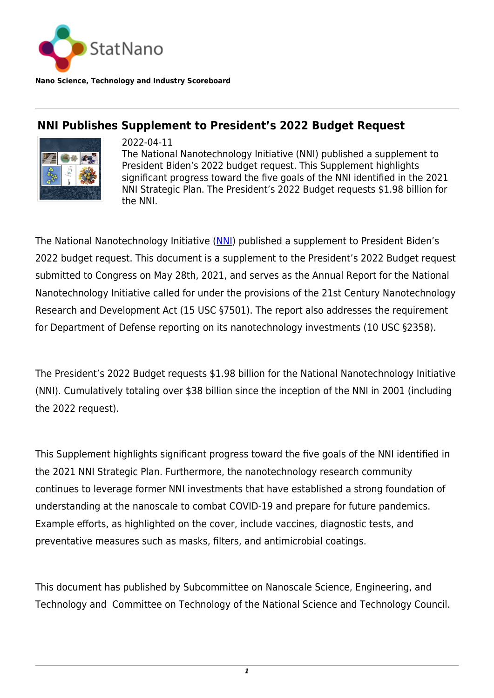

**Nano Science, Technology and Industry Scoreboard**

## **NNI Publishes Supplement to President's 2022 Budget Request**



2022-04-11 The National Nanotechnology Initiative (NNI) published a supplement to President Biden's 2022 budget request. This Supplement highlights significant progress toward the five goals of the NNI identified in the 2021 NNI Strategic Plan. The President's 2022 Budget requests \$1.98 billion for the NNI.

The National Nanotechnology Initiative ([NNI](https://www.nano.gov/)) published a supplement to President Biden's 2022 budget request. This document is a supplement to the President's 2022 Budget request submitted to Congress on May 28th, 2021, and serves as the Annual Report for the National Nanotechnology Initiative called for under the provisions of the 21st Century Nanotechnology Research and Development Act (15 USC §7501). The report also addresses the requirement for Department of Defense reporting on its nanotechnology investments (10 USC §2358).

The President's 2022 Budget requests \$1.98 billion for the National Nanotechnology Initiative (NNI). Cumulatively totaling over \$38 billion since the inception of the NNI in 2001 (including the 2022 request).

This Supplement highlights significant progress toward the five goals of the NNI identified in the 2021 NNI Strategic Plan. Furthermore, the nanotechnology research community continues to leverage former NNI investments that have established a strong foundation of understanding at the nanoscale to combat COVID-19 and prepare for future pandemics. Example efforts, as highlighted on the cover, include vaccines, diagnostic tests, and preventative measures such as masks, filters, and antimicrobial coatings.

This document has published by Subcommittee on Nanoscale Science, Engineering, and Technology and Committee on Technology of the National Science and Technology Council.